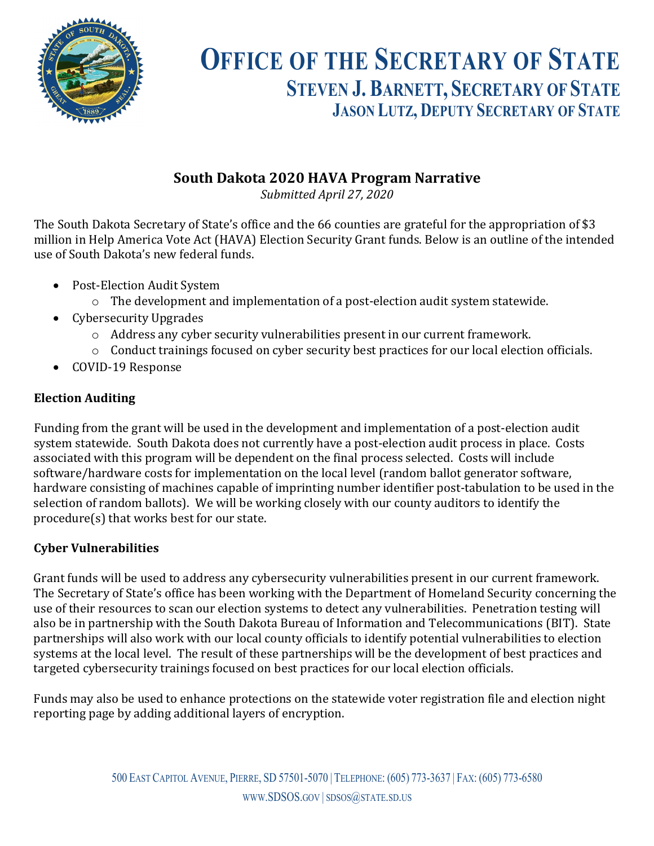

# **OFFICE OF THE SECRETARY OF STATE STEVEN J. BARNETT, SECRETARY OF STATE JASON LUTZ, DEPUTY SECRETARY OF STATE**

## **South Dakota 2020 HAVA Program Narrative**

*Submitted April 27, 2020* 

The South Dakota Secretary of State's office and the 66 counties are grateful for the appropriation of \$3 million in Help America Vote Act (HAVA) Election Security Grant funds. Below is an outline of the intended use of South Dakota's new federal funds.

- Post-Election Audit System
	- o The development and implementation of a post-election audit system statewide.
- Cybersecurity Upgrades
	- o Address any cyber security vulnerabilities present in our current framework.
	- o Conduct trainings focused on cyber security best practices for our local election officials.
- COVID-19 Response

### **Election Auditing**

Funding from the grant will be used in the development and implementation of a post-election audit system statewide. South Dakota does not currently have a post-election audit process in place. Costs associated with this program will be dependent on the final process selected. Costs will include software/hardware costs for implementation on the local level (random ballot generator software, hardware consisting of machines capable of imprinting number identifier post-tabulation to be used in the selection of random ballots). We will be working closely with our county auditors to identify the procedure(s) that works best for our state.

## **Cyber Vulnerabilities**

Grant funds will be used to address any cybersecurity vulnerabilities present in our current framework. The Secretary of State's office has been working with the Department of Homeland Security concerning the use of their resources to scan our election systems to detect any vulnerabilities. Penetration testing will also be in partnership with the South Dakota Bureau of Information and Telecommunications (BIT). State partnerships will also work with our local county officials to identify potential vulnerabilities to election systems at the local level. The result of these partnerships will be the development of best practices and targeted cybersecurity trainings focused on best practices for our local election officials.

Funds may also be used to enhance protections on the statewide voter registration file and election night reporting page by adding additional layers of encryption.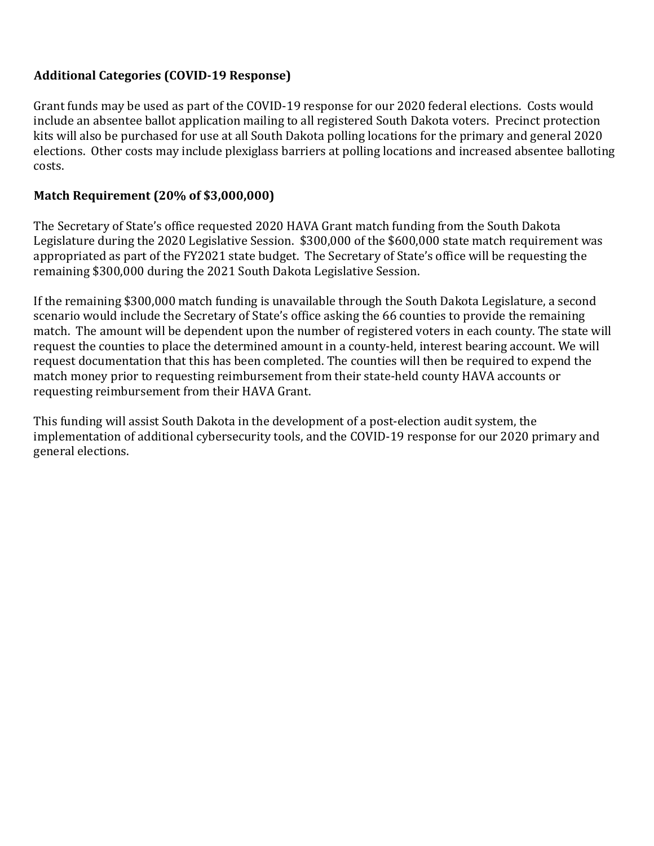#### **Additional Categories (COVID-19 Response)**

Grant funds may be used as part of the COVID-19 response for our 2020 federal elections. Costs would include an absentee ballot application mailing to all registered South Dakota voters. Precinct protection kits will also be purchased for use at all South Dakota polling locations for the primary and general 2020 elections. Other costs may include plexiglass barriers at polling locations and increased absentee balloting costs.

#### **Match Requirement (20% of \$3,000,000)**

The Secretary of State's office requested 2020 HAVA Grant match funding from the South Dakota Legislature during the 2020 Legislative Session. \$300,000 of the \$600,000 state match requirement was appropriated as part of the FY2021 state budget. The Secretary of State's office will be requesting the remaining \$300,000 during the 2021 South Dakota Legislative Session.

If the remaining \$300,000 match funding is unavailable through the South Dakota Legislature, a second scenario would include the Secretary of State's office asking the 66 counties to provide the remaining match. The amount will be dependent upon the number of registered voters in each county. The state will request the counties to place the determined amount in a county-held, interest bearing account. We will request documentation that this has been completed. The counties will then be required to expend the match money prior to requesting reimbursement from their state-held county HAVA accounts or requesting reimbursement from their HAVA Grant.

This funding will assist South Dakota in the development of a post-election audit system, the implementation of additional cybersecurity tools, and the COVID-19 response for our 2020 primary and general elections.